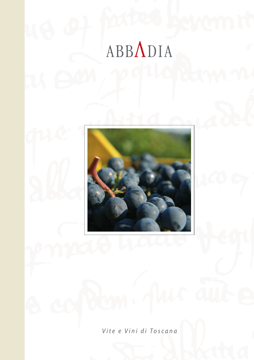# ABBADIA



Vite e Vini di Toscana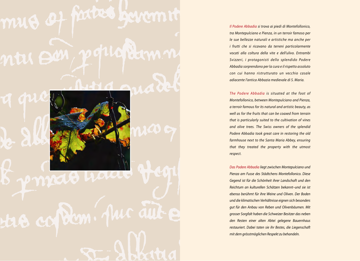# mus of factus haram ntu son, popugiamm



# p nyett haat tre copten. pur aut

Il Podere Abbadia si trova ai piedi di Montefollonico, tra Montepulciano e Pienza, in un terroir famoso per le sue bellezze naturali e artistiche ma anche per i frutti che si ricavano da terreni particolarmente vocati alla coltura della vite e dell'ulivo. Entrambi Svizzeri, i protagonisti dello splendido Podere Abbadia sorprendono per la cura e il rispetto assoluto con cui hanno ristrutturato un vecchio casale adiacente l'antica Abbazia medievale di S. Maria.

The Podere Abbadia is situated at the foot of Montefollonico, between Montepulciano and Pienza, a terroir famous for its natural and artistic beauty, as well as for the fruits that can be coaxed from terrain that is particularly suited to the cultivation of vines and olive trees. The Swiss owners of the splendid Podere Abbadia took great care in restoring the old farmhouse next to the Santa Maria Abbey, ensuring that they treated the property with the utmost respect.

Das Podere Abbadia liegt zwischen Montepulciano und Pienza am Fusse des Städtchens Montefollonico. Diese Gegend ist für die Schönheit ihrer Landschaft und den Reichtum an kulturellen Schätzen bekannt–und sie ist ebenso berühmt für ihre Weine und Oliven. Der Boden und die klimatischen Verhältnisse eignen sich besonders gut für den Anbau von Reben und Olivenbäumen. Mit grosser Sorgfalt haben die Schweizer Besitzer das neben den Resten einer alten Abtei gelegene Bauernhaus restauriert. Dabei taten sie ihr Bestes, die Liegenschaft mit dem grösstmöglichen Respekt zu behandeln.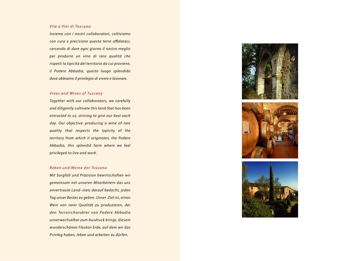# Vite e Vini di Toscana

Insieme con i nostri collaboratori, coltiviamo con cura e precisione questa terra affidataci, cercando di dare ogni giorno il nostro meglio per produrre un vino di rara qualità che rispetti la tipicità del territorio da cui proviene, il Podere Abbadia, questo luogo splendido dove abbiamo il privilegio di vivere e lavorare.

# Vines and Wines of Tuscany

Together with our collaborators, we carefully and diligently cultivate this land that has been entrusted to us, striving to give our best each day. Our objective: producing a wine of rare quality that respects the typicity of the territory from which it originates, the Podere Abbadia, this splendid farm where we feel privileged to live and work.

# Reben und Weine der Toscana

Mit Sorgfalt und Präzision bewirtschaften wir gemeinsam mit unseren Mitarbeitern das uns anvertraute Land–stets darauf bedacht, jeden Tag unser Bestes zu geben. Unser Ziel ist, einen Wein von rarer Qualität zu produzieren, der den Terroircharakter von Podere Abbadia unverwechselbar zum Ausdruck bringt, diesem wunderschönen Flecken Erde, auf dem wir das Privileg haben, leben und arbeiten zu dürfen.





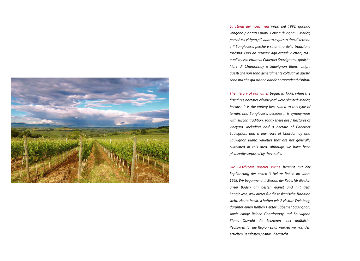

La storia dei nostri vini inizia nel 1998, quando vengono piantati i primi 3 ettari di vigna: il Merlot, perché è il vitigno più adatto a questo tipo di terreno e il Sangiovese, perchè è sinonimo della tradizione toscana. Fino ad arrivare agli attuali 7 ettari, tra i quali mezzo ettaro di Cabernet Sauvignon e qualche filare di Chardonnay e Sauvignon Blanc, vitigni questi che non sono generalmente coltivati in questa zona ma che qui stanno dando sorprendenti risultati.

The history of our wines began in 1998, when the first three hectares of vineyard were planted: Merlot, because it is the variety best suited to this type of terrain, and Sangiovese, because it is synonymous with Tuscan tradition. Today there are 7 hectares of vineyard, including half a hectare of Cabernet Sauvignon, and a few rows of Chardonnay and Sauvignon Blanc, varieties that are not generally cultivated in this area, although we have been pleasantly surprised by the results.

Die Geschichte unserer Weine beginnt mit der Bepflanzung der ersten 3 Hektar Reben im Jahre 1998. Wir begannen mit Merlot, der Rebe, für die sich unser Boden am besten eignet und mit dem Sangiovese, weil dieser für die toskanische Tradition steht. Heute bewirtschaften wir 7 Hektar Weinberg, darunter einen halben Hektar Cabernet Sauvignon, sowie einige Reihen Chardonnay und Sauvignon Blanc. Obwohl die Letzteren eher unübliche Rebsorten für die Region sind, wurden wir von den erzielten Resultaten positiv überrascht.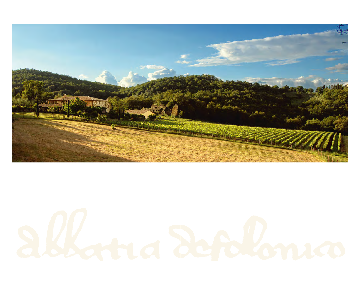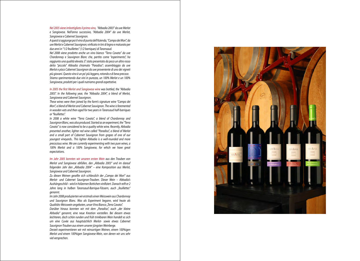Nel 2005 viene imbottigliato il primo vino, "Abbadia 2003" da uve Merlot e Sangiovese. Nell'anno successivo, "Abbadia 2004" da uve Merlot, Sangiovese e Cabernet Sauvignon.

A questi si aggiunge poi il vino di punta dell'Azienda, "Campo dei Mori", da uve Merlot e Cabernet Sauvignon; vinficato in tini di legno e maturato per due anni in "1/2 feuillettes" (1/2 barriques) di Taransaud.

Nel 2008 viene prodotto anche un vino bianco "Terra Cavata" da uve Chardonnay e Sauvignon Blanc che, partito come "esperimento", ha raggiunto una qualità elevata. E' stato presentato da poco un altro rosso detto "piccolo" Abbadia chiamato "Paradiso"; assemblaggio da uve Merlot e pòco Cabernet Sauvignon da uve proveniente di uno dei vigneti più giovani. Questo vino è un po' più leggero, rotondo e di beva precoce. Stiamo sperimentando due vini in purezza, un 100% Merlot e un 100% Sangiovese, prodotti per i quali nutriamo grandi aspettative.

In 2005 the first Merlot and Sangiovese wine was bottled, the "Abbadia 2003". In the following year, the "Abbadia 2004", a blend of Merlot, Sangiovese and Cabernet Sauvignon.

These wines were then joined by the farm's signature wine "Campo dei Mori", a blend of Merlot and Cabernet Sauvignon. The wine is feremented in wooden vats and then aged for two years in Taransaud half-barriques or "feuillettes".

In 2008 a white wine "Terra Cavata", a blend of Chardonnay and Sauvignon Blanc, was also produced. Started as an experiment, the "Terra Cavata" is now considered to be a quality white wine. Recently, Abbadia presented another, lighter red wine called "Paradiso", a blend of Merlot and a small part of Cabernet Sauvignon from grapes of one of our youngest vineyards.. This lighter Abbadia is a well-rounded and more precocious wine. We are currently experimenting with two pure wines, a 100% Merlot and a 100% Sangiovese, for which we have great expectations.

Im Jahr 2005 konnten wir unseren ersten Wein aus den Trauben von Merlot und Sangiovese abfüllen, den "Abbadia 2003" und im darauf folgenden Jahr den "Abbadia 2004" – eine Komposition aus Merlot, Sangiovese und Cabernet Sauvignon.

Zu diesen Weinen gesellte sich schliesslich der "Campo dei Mori" aus Merlot- und Cabernet Sauvignon-Trauben. Dieser Wein – Abbadia's Aushängeschild – wird in hölzernen Bottichen vinifiziert. Danach reift er 2 Jahre lang in halben Taransaud-Barrique-Fässern, auch "feuillettes" genannt.

Im Jahr 2008 produzierten wir erstmals einen Weisswein aus Chardonnay und Sauvignon Blanc. Was als Experiment begann, wird heute als Qualitäts-Weisswein angeboten, unser Vino Bianco "Terra Cavata". Darüber hinaus konnten wir mit dem "Paradiso", auch "der kleine Abbadia" genannt, eine neue Kreation vorstellen. Bei diesem etwas leichteren, doch schön runden und früh trinkbaren Wein handelt es sich um eine Cuvée aus hauptsächlich Merlot- sowie etwas Cabernet Sauvignon-Trauben aus einem unserer jüngsten Weinberge.

Derzeit experimentieren wir mit reinsortigen Weinen, einem 100%igen Merlot und einem 100%igen Sangiovese-Wein, von denen wir uns sehr viel versprechen.

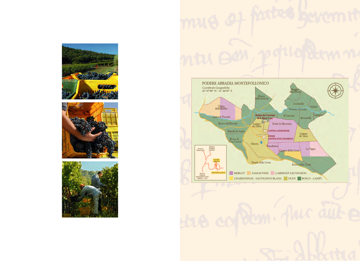





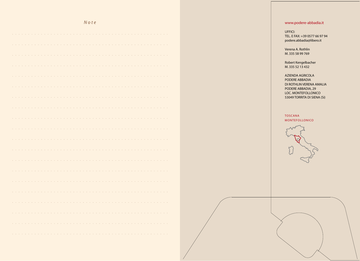# Note

|        |                          |  |                                                                                                                        |  |  |  |  |  |  |  |  |  |  |  |  |  | the contract of the contract of the contract of the contract of the contract of the contract of the contract of |  |  |  |  |  |  |
|--------|--------------------------|--|------------------------------------------------------------------------------------------------------------------------|--|--|--|--|--|--|--|--|--|--|--|--|--|-----------------------------------------------------------------------------------------------------------------|--|--|--|--|--|--|
|        |                          |  |                                                                                                                        |  |  |  |  |  |  |  |  |  |  |  |  |  |                                                                                                                 |  |  |  |  |  |  |
|        |                          |  | and a construction of the construction of the construction of the construction of the construction of the construction |  |  |  |  |  |  |  |  |  |  |  |  |  |                                                                                                                 |  |  |  |  |  |  |
|        |                          |  | and a complete the complete problem of the complete problem in the complete problem of the complete problem of         |  |  |  |  |  |  |  |  |  |  |  |  |  |                                                                                                                 |  |  |  |  |  |  |
| $\sim$ |                          |  | and the company of the company of the company of the company of the company of the company of the company of the       |  |  |  |  |  |  |  |  |  |  |  |  |  |                                                                                                                 |  |  |  |  |  |  |
|        |                          |  |                                                                                                                        |  |  |  |  |  |  |  |  |  |  |  |  |  |                                                                                                                 |  |  |  |  |  |  |
|        |                          |  |                                                                                                                        |  |  |  |  |  |  |  |  |  |  |  |  |  |                                                                                                                 |  |  |  |  |  |  |
|        |                          |  |                                                                                                                        |  |  |  |  |  |  |  |  |  |  |  |  |  |                                                                                                                 |  |  |  |  |  |  |
|        |                          |  |                                                                                                                        |  |  |  |  |  |  |  |  |  |  |  |  |  |                                                                                                                 |  |  |  |  |  |  |
|        | <b>Contract Contract</b> |  | de la caractería de la caractería de la caractería de la caractería de la caractería de la caractería de la ca         |  |  |  |  |  |  |  |  |  |  |  |  |  |                                                                                                                 |  |  |  |  |  |  |

# www.podere-abbadia.it

UFFICI: TEL. E FAX: +39 0577 66 97 94 podere.abbadia@libero.it

Verena A. Rothlin M. 335 58 99 769

Robert Kengelbacher M. 335 52 13 432

AZIENDA AGRICOLA PODERE ABBADIA DI ROTHLIN VERENA AMALIA PODERE ABBADIA, 29 LOC. MONTEFOLLONICO 53049 TORRITA DI SIENA (Si)

## TOSCANA MONTEFOLLONICO